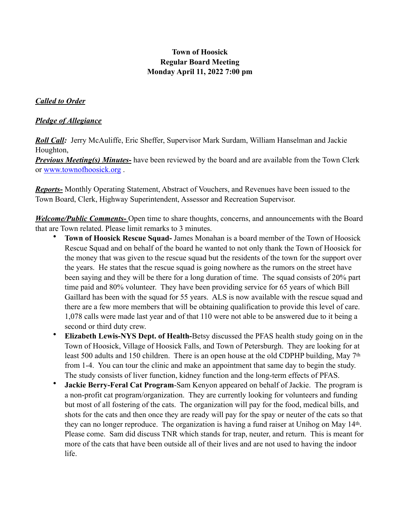# **Town of Hoosick Regular Board Meeting Monday April 11, 2022 7:00 pm**

#### *Called to Order*

#### *Pledge of Allegiance*

*Roll Call:* Jerry McAuliffe, Eric Sheffer, Supervisor Mark Surdam, William Hanselman and Jackie Houghton,

*Previous Meeting(s) Minutes***-** have been reviewed by the board and are available from the Town Clerk or [www.townofhoosick.org](http://www.townofhoosick.org) .

*Reports-* Monthly Operating Statement, Abstract of Vouchers, and Revenues have been issued to the Town Board, Clerk, Highway Superintendent, Assessor and Recreation Supervisor.

*Welcome/Public Comments-* Open time to share thoughts, concerns, and announcements with the Board that are Town related. Please limit remarks to 3 minutes.

- **Town of Hoosick Rescue Squad-** James Monahan is a board member of the Town of Hoosick Rescue Squad and on behalf of the board he wanted to not only thank the Town of Hoosick for the money that was given to the rescue squad but the residents of the town for the support over the years. He states that the rescue squad is going nowhere as the rumors on the street have been saying and they will be there for a long duration of time. The squad consists of 20% part time paid and 80% volunteer. They have been providing service for 65 years of which Bill Gaillard has been with the squad for 55 years. ALS is now available with the rescue squad and there are a few more members that will be obtaining qualification to provide this level of care. 1,078 calls were made last year and of that 110 were not able to be answered due to it being a second or third duty crew.
- **Elizabeth Lewis-NYS Dept. of Health-**Betsy discussed the PFAS health study going on in the Town of Hoosick, Village of Hoosick Falls, and Town of Petersburgh. They are looking for at least 500 adults and 150 children. There is an open house at the old CDPHP building, May 7th from 1-4. You can tour the clinic and make an appointment that same day to begin the study. The study consists of liver function, kidney function and the long-term effects of PFAS.
- **Jackie Berry-Feral Cat Program**-Sam Kenyon appeared on behalf of Jackie. The program is a non-profit cat program/organization. They are currently looking for volunteers and funding but most of all fostering of the cats. The organization will pay for the food, medical bills, and shots for the cats and then once they are ready will pay for the spay or neuter of the cats so that they can no longer reproduce. The organization is having a fund raiser at Unihog on May 14th. Please come. Sam did discuss TNR which stands for trap, neuter, and return. This is meant for more of the cats that have been outside all of their lives and are not used to having the indoor life.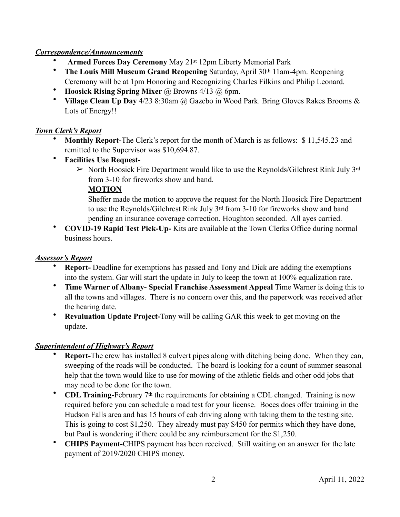## *Correspondence/Announcements*

- **Armed Forces Day Ceremony** May 21st 12pm Liberty Memorial Park
- **The Louis Mill Museum Grand Reopening** Saturday, April 30th 11am-4pm. Reopening Ceremony will be at 1pm Honoring and Recognizing Charles Filkins and Philip Leonard.
- **Hoosick Rising Spring Mixer** @ Browns 4/13 @ 6pm.
- **Village Clean Up Day** 4/23 8:30am @ Gazebo in Wood Park. Bring Gloves Rakes Brooms & Lots of Energy!!

## *Town Clerk's Report*

- **Monthly Report-**The Clerk's report for the month of March is as follows: \$ 11,545.23 and remitted to the Supervisor was \$10,694.87.
- **Facilities Use Request-**
	- $\triangleright$  North Hoosick Fire Department would like to use the Reynolds/Gilchrest Rink July 3rd from 3-10 for fireworks show and band.

### **MOTION**

Sheffer made the motion to approve the request for the North Hoosick Fire Department to use the Reynolds/Gilchrest Rink July 3rd from 3-10 for fireworks show and band pending an insurance coverage correction. Houghton seconded. All ayes carried.

• **COVID-19 Rapid Test Pick-Up-** Kits are available at the Town Clerks Office during normal business hours.

### *Assessor's Report*

- **Report-** Deadline for exemptions has passed and Tony and Dick are adding the exemptions into the system. Gar will start the update in July to keep the town at 100% equalization rate.
- **Time Warner of Albany- Special Franchise Assessment Appeal** Time Warner is doing this to all the towns and villages. There is no concern over this, and the paperwork was received after the hearing date.
- **Revaluation Update Project-**Tony will be calling GAR this week to get moving on the update.

## *Superintendent of Highway's Report*

- **Report-**The crew has installed 8 culvert pipes along with ditching being done. When they can, sweeping of the roads will be conducted. The board is looking for a count of summer seasonal help that the town would like to use for mowing of the athletic fields and other odd jobs that may need to be done for the town.
- **CDL Training-February** 7<sup>th</sup> the requirements for obtaining a CDL changed. Training is now required before you can schedule a road test for your license. Boces does offer training in the Hudson Falls area and has 15 hours of cab driving along with taking them to the testing site. This is going to cost \$1,250. They already must pay \$450 for permits which they have done, but Paul is wondering if there could be any reimbursement for the \$1,250.
- **CHIPS Payment-**CHIPS payment has been received. Still waiting on an answer for the late payment of 2019/2020 CHIPS money.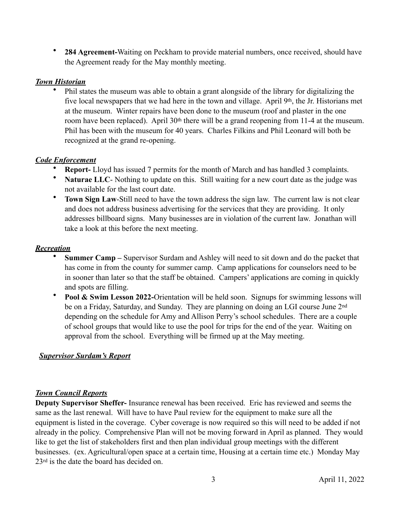• **284 Agreement-**Waiting on Peckham to provide material numbers, once received, should have the Agreement ready for the May monthly meeting.

### *Town Historian*

• Phil states the museum was able to obtain a grant alongside of the library for digitalizing the five local newspapers that we had here in the town and village. April 9th, the Jr. Historians met at the museum. Winter repairs have been done to the museum (roof and plaster in the one room have been replaced). April 30th there will be a grand reopening from 11-4 at the museum. Phil has been with the museum for 40 years. Charles Filkins and Phil Leonard will both be recognized at the grand re-opening.

### *Code Enforcement*

- **Report-** Lloyd has issued 7 permits for the month of March and has handled 3 complaints.
- Naturae LLC- Nothing to update on this. Still waiting for a new court date as the judge was not available for the last court date.
- **Town Sign Law**-Still need to have the town address the sign law. The current law is not clear and does not address business advertising for the services that they are providing. It only addresses billboard signs. Many businesses are in violation of the current law. Jonathan will take a look at this before the next meeting.

### *Recreation*

- **Summer Camp** Supervisor Surdam and Ashley will need to sit down and do the packet that has come in from the county for summer camp. Camp applications for counselors need to be in sooner than later so that the staff be obtained. Campers' applications are coming in quickly and spots are filling.
- **Pool & Swim Lesson 2022-**Orientation will be held soon. Signups for swimming lessons will be on a Friday, Saturday, and Sunday. They are planning on doing an LGI course June 2<sup>nd</sup> depending on the schedule for Amy and Allison Perry's school schedules. There are a couple of school groups that would like to use the pool for trips for the end of the year. Waiting on approval from the school. Everything will be firmed up at the May meeting.

## *Supervisor Surdam's Report*

#### *Town Council Reports*

**Deputy Supervisor Sheffer-** Insurance renewal has been received. Eric has reviewed and seems the same as the last renewal. Will have to have Paul review for the equipment to make sure all the equipment is listed in the coverage. Cyber coverage is now required so this will need to be added if not already in the policy. Comprehensive Plan will not be moving forward in April as planned. They would like to get the list of stakeholders first and then plan individual group meetings with the different businesses. (ex. Agricultural/open space at a certain time, Housing at a certain time etc.) Monday May 23rd is the date the board has decided on.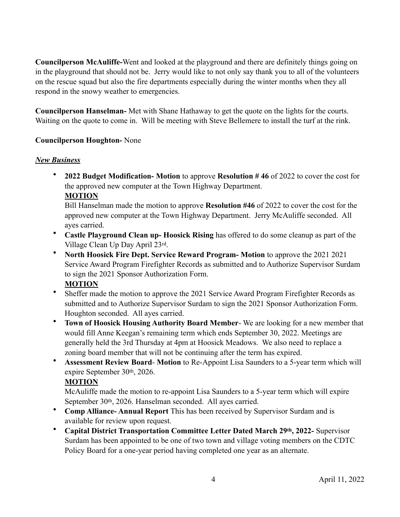**Councilperson McAuliffe-**Went and looked at the playground and there are definitely things going on in the playground that should not be. Jerry would like to not only say thank you to all of the volunteers on the rescue squad but also the fire departments especially during the winter months when they all respond in the snowy weather to emergencies.

**Councilperson Hanselman-** Met with Shane Hathaway to get the quote on the lights for the courts. Waiting on the quote to come in. Will be meeting with Steve Bellemere to install the turf at the rink.

### **Councilperson Houghton-** None

#### *New Business*

• **2022 Budget Modification- Motion** to approve **Resolution # 46** of 2022 to cover the cost for the approved new computer at the Town Highway Department.

#### **MOTION**

Bill Hanselman made the motion to approve **Resolution #46** of 2022 to cover the cost for the approved new computer at the Town Highway Department. Jerry McAuliffe seconded. All ayes carried.

- **Castle Playground Clean up- Hoosick Rising** has offered to do some cleanup as part of the Village Clean Up Day April 23rd.
- **North Hoosick Fire Dept. Service Reward Program- Motion** to approve the 2021 2021 Service Award Program Firefighter Records as submitted and to Authorize Supervisor Surdam to sign the 2021 Sponsor Authorization Form.

#### **MOTION**

- Sheffer made the motion to approve the 2021 Service Award Program Firefighter Records as submitted and to Authorize Supervisor Surdam to sign the 2021 Sponsor Authorization Form. Houghton seconded. All ayes carried.
- **Town of Hoosick Housing Authority Board Member** We are looking for a new member that would fill Anne Keegan's remaining term which ends September 30, 2022. Meetings are generally held the 3rd Thursday at 4pm at Hoosick Meadows. We also need to replace a zoning board member that will not be continuing after the term has expired.
- **Assessment Review Board Motion** to Re-Appoint Lisa Saunders to a 5-year term which will expire September 30th, 2026.

## **MOTION**

McAuliffe made the motion to re-appoint Lisa Saunders to a 5-year term which will expire September 30th, 2026. Hanselman seconded. All ayes carried.

- **Comp Alliance- Annual Report** This has been received by Supervisor Surdam and is available for review upon request.
- **Capital District Transportation Committee Letter Dated March 29th, 2022-** Supervisor Surdam has been appointed to be one of two town and village voting members on the CDTC Policy Board for a one-year period having completed one year as an alternate.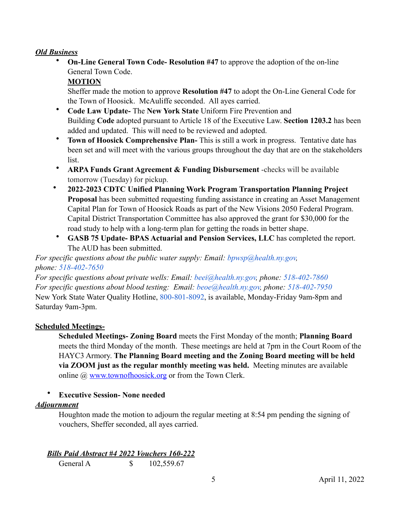### *Old Business*

• **On-Line General Town Code- Resolution #47** to approve the adoption of the on-line General Town Code.

#### **MOTION**

Sheffer made the motion to approve **Resolution #47** to adopt the On-Line General Code for the Town of Hoosick. McAuliffe seconded. All ayes carried.

- **Code Law Update-** The **New York State** Uniform Fire Prevention and Building **Code** adopted pursuant to Article 18 of the Executive Law. **Section 1203.2** has been added and updated. This will need to be reviewed and adopted.
- **Town of Hoosick Comprehensive Plan-** This is still a work in progress. Tentative date has been set and will meet with the various groups throughout the day that are on the stakeholders list.
- **ARPA Funds Grant Agreement & Funding Disbursement** -checks will be available tomorrow (Tuesday) for pickup.
- **2022-2023 CDTC Unified Planning Work Program Transportation Planning Project Proposal** has been submitted requesting funding assistance in creating an Asset Management Capital Plan for Town of Hoosick Roads as part of the New Visions 2050 Federal Program. Capital District Transportation Committee has also approved the grant for \$30,000 for the road study to help with a long-term plan for getting the roads in better shape.
- **GASB 75 Update- BPAS Actuarial and Pension Services, LLC** has completed the report. The AUD has been submitted.

*For specific questions about the public water supply: Email: [bpwsp@health.ny.gov,](mailto:bwsp@health.ny.gov) phone: 518-402-7650* 

*For specific questions about private wells: Email: [beei@health.ny.gov,](mailto:beei@health.ny.gov) phone: 518-402-7860 For specific questions about blood testing: Email: [beoe@health.ny.gov,](mailto:beoe@health.ny.gov) phone: 518-402-7950* New York State Water Quality Hotline, 800-801-8092, is available, Monday-Friday 9am-8pm and Saturday 9am-3pm.

#### **Scheduled Meetings-**

**Scheduled Meetings- Zoning Board** meets the First Monday of the month; **Planning Board** meets the third Monday of the month. These meetings are held at 7pm in the Court Room of the HAYC3 Armory. **The Planning Board meeting and the Zoning Board meeting will be held via ZOOM just as the regular monthly meeting was held.** Meeting minutes are available online @ [www.townofhoosick.org](http://www.townofhoosick.org) or from the Town Clerk.

#### • **Executive Session- None needed**

#### *Adjournment*

Houghton made the motion to adjourn the regular meeting at 8:54 pm pending the signing of vouchers, Sheffer seconded, all ayes carried.

*Bills Paid Abstract #4 2022 Vouchers 160-222* 

General A  $$ 102,559.67$